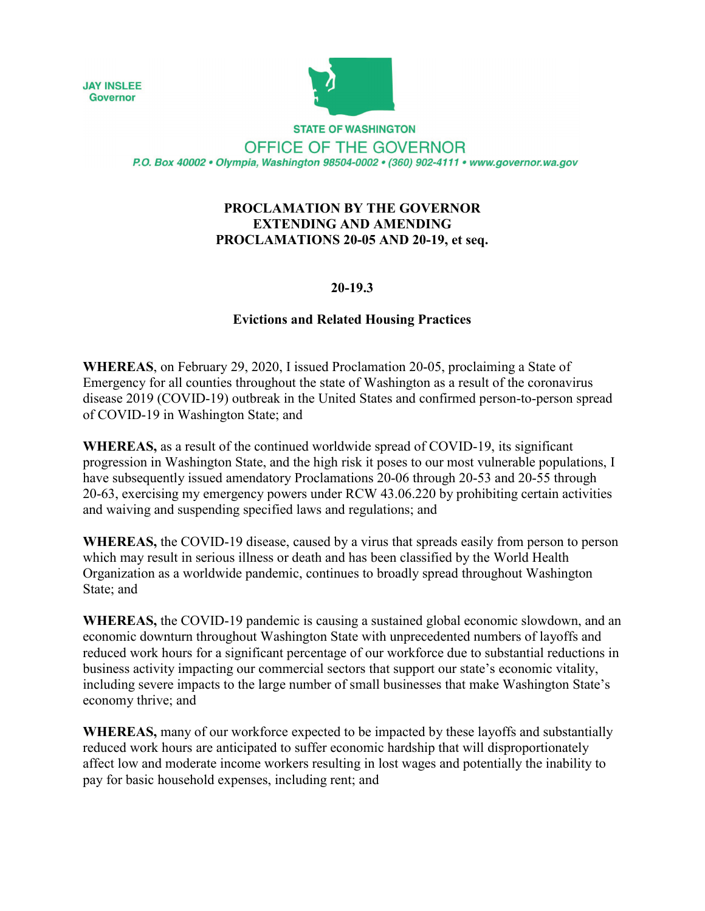**JAY INSLEE Governor** 



**STATE OF WASHINGTON** OFFICE OF THE GOVERNOR P.O. Box 40002 · Olympia, Washington 98504-0002 · (360) 902-4111 · www.governor.wa.gov

## **PROCLAMATION BY THE GOVERNOR EXTENDING AND AMENDING PROCLAMATIONS 20-05 AND 20-19, et seq.**

## **20-19.3**

## **Evictions and Related Housing Practices**

**WHEREAS**, on February 29, 2020, I issued Proclamation 20-05, proclaiming a State of Emergency for all counties throughout the state of Washington as a result of the coronavirus disease 2019 (COVID-19) outbreak in the United States and confirmed person-to-person spread of COVID-19 in Washington State; and

**WHEREAS,** as a result of the continued worldwide spread of COVID-19, its significant progression in Washington State, and the high risk it poses to our most vulnerable populations, I have subsequently issued amendatory Proclamations 20-06 through 20-53 and 20-55 through 20-63, exercising my emergency powers under RCW 43.06.220 by prohibiting certain activities and waiving and suspending specified laws and regulations; and

**WHEREAS,** the COVID-19 disease, caused by a virus that spreads easily from person to person which may result in serious illness or death and has been classified by the World Health Organization as a worldwide pandemic, continues to broadly spread throughout Washington State; and

**WHEREAS,** the COVID-19 pandemic is causing a sustained global economic slowdown, and an economic downturn throughout Washington State with unprecedented numbers of layoffs and reduced work hours for a significant percentage of our workforce due to substantial reductions in business activity impacting our commercial sectors that support our state's economic vitality, including severe impacts to the large number of small businesses that make Washington State's economy thrive; and

**WHEREAS,** many of our workforce expected to be impacted by these layoffs and substantially reduced work hours are anticipated to suffer economic hardship that will disproportionately affect low and moderate income workers resulting in lost wages and potentially the inability to pay for basic household expenses, including rent; and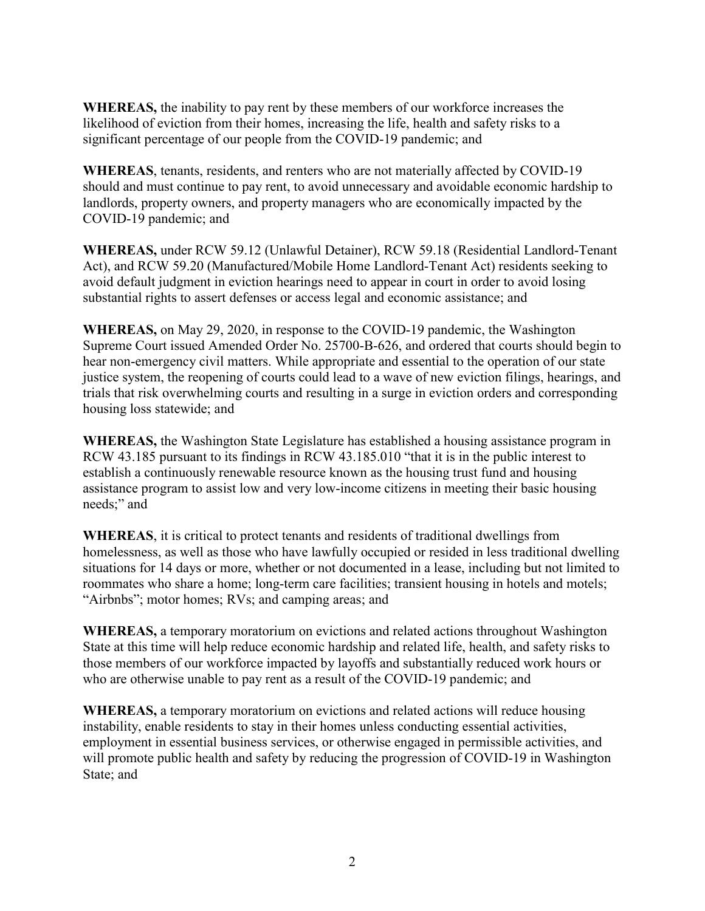**WHEREAS,** the inability to pay rent by these members of our workforce increases the likelihood of eviction from their homes, increasing the life, health and safety risks to a significant percentage of our people from the COVID-19 pandemic; and

**WHEREAS**, tenants, residents, and renters who are not materially affected by COVID-19 should and must continue to pay rent, to avoid unnecessary and avoidable economic hardship to landlords, property owners, and property managers who are economically impacted by the COVID-19 pandemic; and

**WHEREAS,** under RCW 59.12 (Unlawful Detainer), RCW 59.18 (Residential Landlord-Tenant Act), and RCW 59.20 (Manufactured/Mobile Home Landlord-Tenant Act) residents seeking to avoid default judgment in eviction hearings need to appear in court in order to avoid losing substantial rights to assert defenses or access legal and economic assistance; and

**WHEREAS,** on May 29, 2020, in response to the COVID-19 pandemic, the Washington Supreme Court issued Amended Order No. 25700-B-626, and ordered that courts should begin to hear non-emergency civil matters. While appropriate and essential to the operation of our state justice system, the reopening of courts could lead to a wave of new eviction filings, hearings, and trials that risk overwhelming courts and resulting in a surge in eviction orders and corresponding housing loss statewide; and

**WHEREAS,** the Washington State Legislature has established a housing assistance program in RCW 43.185 pursuant to its findings in RCW 43.185.010 "that it is in the public interest to establish a continuously renewable resource known as the housing trust fund and housing assistance program to assist low and very low-income citizens in meeting their basic housing needs;" and

**WHEREAS**, it is critical to protect tenants and residents of traditional dwellings from homelessness, as well as those who have lawfully occupied or resided in less traditional dwelling situations for 14 days or more, whether or not documented in a lease, including but not limited to roommates who share a home; long-term care facilities; transient housing in hotels and motels; "Airbnbs"; motor homes; RVs; and camping areas; and

**WHEREAS,** a temporary moratorium on evictions and related actions throughout Washington State at this time will help reduce economic hardship and related life, health, and safety risks to those members of our workforce impacted by layoffs and substantially reduced work hours or who are otherwise unable to pay rent as a result of the COVID-19 pandemic; and

**WHEREAS,** a temporary moratorium on evictions and related actions will reduce housing instability, enable residents to stay in their homes unless conducting essential activities, employment in essential business services, or otherwise engaged in permissible activities, and will promote public health and safety by reducing the progression of COVID-19 in Washington State; and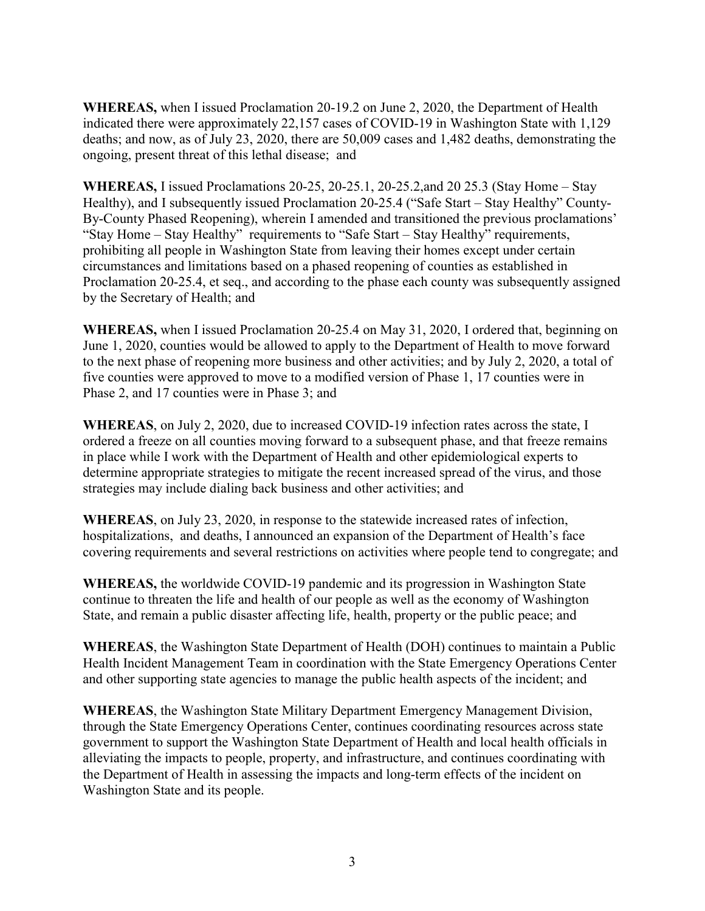**WHEREAS,** when I issued Proclamation 20-19.2 on June 2, 2020, the Department of Health indicated there were approximately 22,157 cases of COVID-19 in Washington State with 1,129 deaths; and now, as of July 23, 2020, there are 50,009 cases and 1,482 deaths, demonstrating the ongoing, present threat of this lethal disease; and

**WHEREAS,** I issued Proclamations 20-25, 20-25.1, 20-25.2,and 20 25.3 (Stay Home – Stay Healthy), and I subsequently issued Proclamation 20-25.4 ("Safe Start – Stay Healthy" County-By-County Phased Reopening), wherein I amended and transitioned the previous proclamations' "Stay Home – Stay Healthy" requirements to "Safe Start – Stay Healthy" requirements, prohibiting all people in Washington State from leaving their homes except under certain circumstances and limitations based on a phased reopening of counties as established in Proclamation 20-25.4, et seq., and according to the phase each county was subsequently assigned by the Secretary of Health; and

**WHEREAS,** when I issued Proclamation 20-25.4 on May 31, 2020, I ordered that, beginning on June 1, 2020, counties would be allowed to apply to the Department of Health to move forward to the next phase of reopening more business and other activities; and by July 2, 2020, a total of five counties were approved to move to a modified version of Phase 1, 17 counties were in Phase 2, and 17 counties were in Phase 3; and

**WHEREAS**, on July 2, 2020, due to increased COVID-19 infection rates across the state, I ordered a freeze on all counties moving forward to a subsequent phase, and that freeze remains in place while I work with the Department of Health and other epidemiological experts to determine appropriate strategies to mitigate the recent increased spread of the virus, and those strategies may include dialing back business and other activities; and

**WHEREAS**, on July 23, 2020, in response to the statewide increased rates of infection, hospitalizations, and deaths, I announced an expansion of the Department of Health's face covering requirements and several restrictions on activities where people tend to congregate; and

**WHEREAS,** the worldwide COVID-19 pandemic and its progression in Washington State continue to threaten the life and health of our people as well as the economy of Washington State, and remain a public disaster affecting life, health, property or the public peace; and

**WHEREAS**, the Washington State Department of Health (DOH) continues to maintain a Public Health Incident Management Team in coordination with the State Emergency Operations Center and other supporting state agencies to manage the public health aspects of the incident; and

**WHEREAS**, the Washington State Military Department Emergency Management Division, through the State Emergency Operations Center, continues coordinating resources across state government to support the Washington State Department of Health and local health officials in alleviating the impacts to people, property, and infrastructure, and continues coordinating with the Department of Health in assessing the impacts and long-term effects of the incident on Washington State and its people.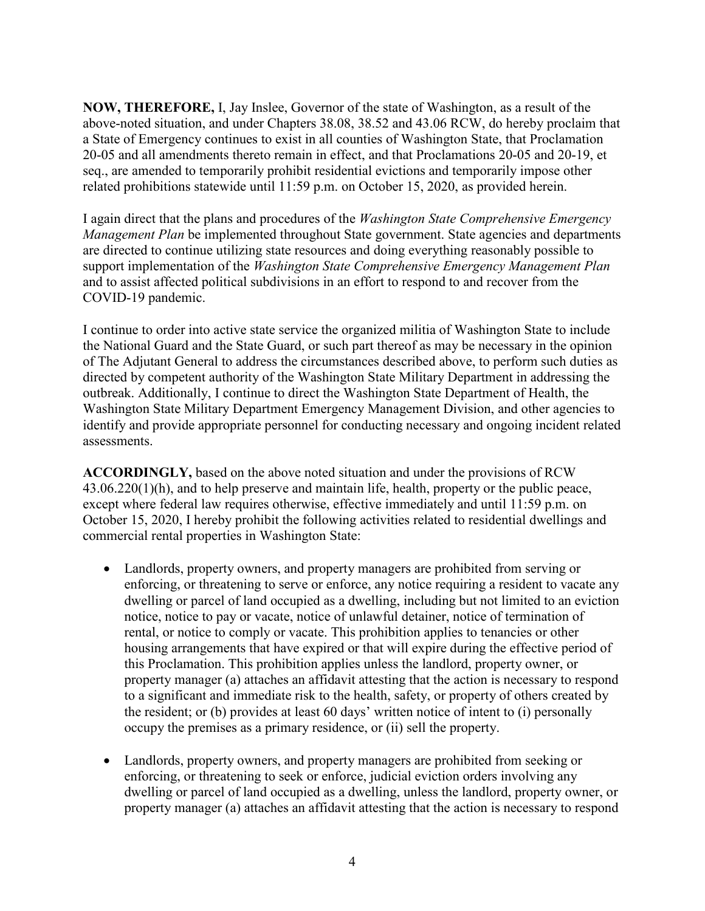**NOW, THEREFORE,** I, Jay Inslee, Governor of the state of Washington, as a result of the above-noted situation, and under Chapters 38.08, 38.52 and 43.06 RCW, do hereby proclaim that a State of Emergency continues to exist in all counties of Washington State, that Proclamation 20-05 and all amendments thereto remain in effect, and that Proclamations 20-05 and 20-19, et seq., are amended to temporarily prohibit residential evictions and temporarily impose other related prohibitions statewide until 11:59 p.m. on October 15, 2020, as provided herein.

I again direct that the plans and procedures of the *Washington State Comprehensive Emergency Management Plan* be implemented throughout State government. State agencies and departments are directed to continue utilizing state resources and doing everything reasonably possible to support implementation of the *Washington State Comprehensive Emergency Management Plan* and to assist affected political subdivisions in an effort to respond to and recover from the COVID-19 pandemic.

I continue to order into active state service the organized militia of Washington State to include the National Guard and the State Guard, or such part thereof as may be necessary in the opinion of The Adjutant General to address the circumstances described above, to perform such duties as directed by competent authority of the Washington State Military Department in addressing the outbreak. Additionally, I continue to direct the Washington State Department of Health, the Washington State Military Department Emergency Management Division, and other agencies to identify and provide appropriate personnel for conducting necessary and ongoing incident related assessments.

**ACCORDINGLY,** based on the above noted situation and under the provisions of RCW 43.06.220(1)(h), and to help preserve and maintain life, health, property or the public peace, except where federal law requires otherwise, effective immediately and until 11:59 p.m. on October 15, 2020, I hereby prohibit the following activities related to residential dwellings and commercial rental properties in Washington State:

- Landlords, property owners, and property managers are prohibited from serving or enforcing, or threatening to serve or enforce, any notice requiring a resident to vacate any dwelling or parcel of land occupied as a dwelling, including but not limited to an eviction notice, notice to pay or vacate, notice of unlawful detainer, notice of termination of rental, or notice to comply or vacate. This prohibition applies to tenancies or other housing arrangements that have expired or that will expire during the effective period of this Proclamation. This prohibition applies unless the landlord, property owner, or property manager (a) attaches an affidavit attesting that the action is necessary to respond to a significant and immediate risk to the health, safety, or property of others created by the resident; or (b) provides at least 60 days' written notice of intent to (i) personally occupy the premises as a primary residence, or (ii) sell the property.
- Landlords, property owners, and property managers are prohibited from seeking or enforcing, or threatening to seek or enforce, judicial eviction orders involving any dwelling or parcel of land occupied as a dwelling, unless the landlord, property owner, or property manager (a) attaches an affidavit attesting that the action is necessary to respond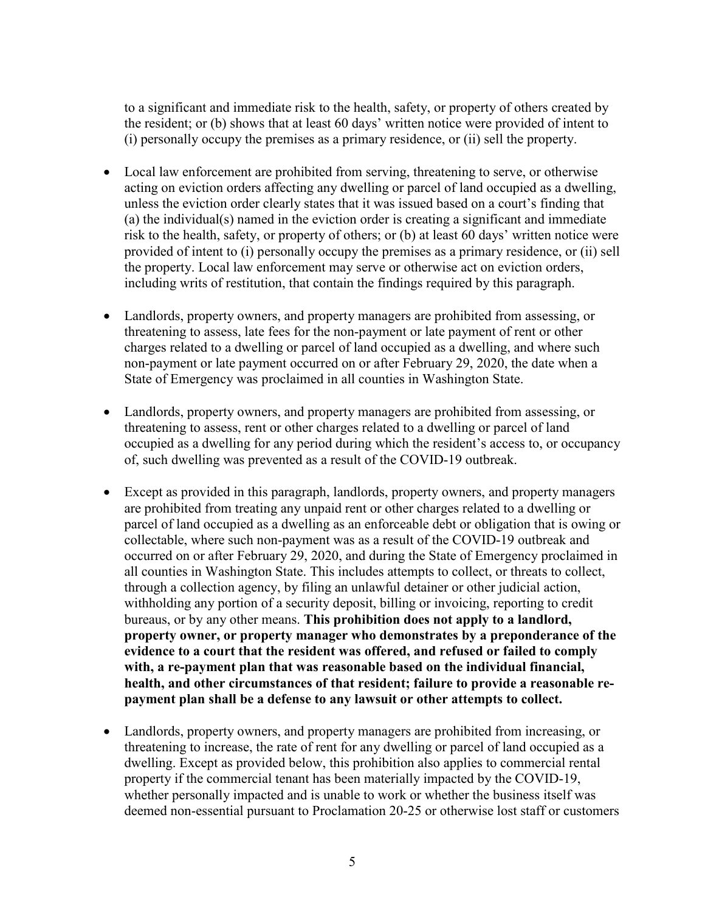to a significant and immediate risk to the health, safety, or property of others created by the resident; or (b) shows that at least 60 days' written notice were provided of intent to (i) personally occupy the premises as a primary residence, or (ii) sell the property.

- Local law enforcement are prohibited from serving, threatening to serve, or otherwise acting on eviction orders affecting any dwelling or parcel of land occupied as a dwelling, unless the eviction order clearly states that it was issued based on a court's finding that (a) the individual(s) named in the eviction order is creating a significant and immediate risk to the health, safety, or property of others; or (b) at least 60 days' written notice were provided of intent to (i) personally occupy the premises as a primary residence, or (ii) sell the property. Local law enforcement may serve or otherwise act on eviction orders, including writs of restitution, that contain the findings required by this paragraph.
- Landlords, property owners, and property managers are prohibited from assessing, or threatening to assess, late fees for the non-payment or late payment of rent or other charges related to a dwelling or parcel of land occupied as a dwelling, and where such non-payment or late payment occurred on or after February 29, 2020, the date when a State of Emergency was proclaimed in all counties in Washington State.
- Landlords, property owners, and property managers are prohibited from assessing, or threatening to assess, rent or other charges related to a dwelling or parcel of land occupied as a dwelling for any period during which the resident's access to, or occupancy of, such dwelling was prevented as a result of the COVID-19 outbreak.
- Except as provided in this paragraph, landlords, property owners, and property managers are prohibited from treating any unpaid rent or other charges related to a dwelling or parcel of land occupied as a dwelling as an enforceable debt or obligation that is owing or collectable, where such non-payment was as a result of the COVID-19 outbreak and occurred on or after February 29, 2020, and during the State of Emergency proclaimed in all counties in Washington State. This includes attempts to collect, or threats to collect, through a collection agency, by filing an unlawful detainer or other judicial action, withholding any portion of a security deposit, billing or invoicing, reporting to credit bureaus, or by any other means. **This prohibition does not apply to a landlord, property owner, or property manager who demonstrates by a preponderance of the evidence to a court that the resident was offered, and refused or failed to comply with, a re-payment plan that was reasonable based on the individual financial, health, and other circumstances of that resident; failure to provide a reasonable repayment plan shall be a defense to any lawsuit or other attempts to collect.**
- Landlords, property owners, and property managers are prohibited from increasing, or threatening to increase, the rate of rent for any dwelling or parcel of land occupied as a dwelling. Except as provided below, this prohibition also applies to commercial rental property if the commercial tenant has been materially impacted by the COVID-19, whether personally impacted and is unable to work or whether the business itself was deemed non-essential pursuant to Proclamation 20-25 or otherwise lost staff or customers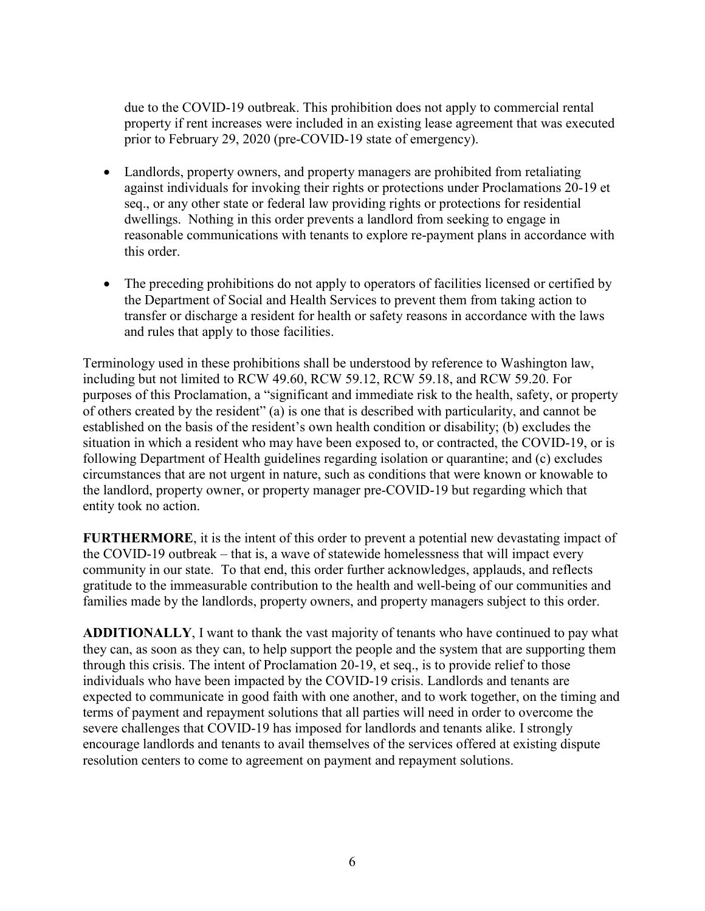due to the COVID-19 outbreak. This prohibition does not apply to commercial rental property if rent increases were included in an existing lease agreement that was executed prior to February 29, 2020 (pre-COVID-19 state of emergency).

- Landlords, property owners, and property managers are prohibited from retaliating against individuals for invoking their rights or protections under Proclamations 20-19 et seq., or any other state or federal law providing rights or protections for residential dwellings. Nothing in this order prevents a landlord from seeking to engage in reasonable communications with tenants to explore re-payment plans in accordance with this order.
- The preceding prohibitions do not apply to operators of facilities licensed or certified by the Department of Social and Health Services to prevent them from taking action to transfer or discharge a resident for health or safety reasons in accordance with the laws and rules that apply to those facilities.

Terminology used in these prohibitions shall be understood by reference to Washington law, including but not limited to RCW 49.60, RCW 59.12, RCW 59.18, and RCW 59.20. For purposes of this Proclamation, a "significant and immediate risk to the health, safety, or property of others created by the resident" (a) is one that is described with particularity, and cannot be established on the basis of the resident's own health condition or disability; (b) excludes the situation in which a resident who may have been exposed to, or contracted, the COVID-19, or is following Department of Health guidelines regarding isolation or quarantine; and (c) excludes circumstances that are not urgent in nature, such as conditions that were known or knowable to the landlord, property owner, or property manager pre-COVID-19 but regarding which that entity took no action.

**FURTHERMORE**, it is the intent of this order to prevent a potential new devastating impact of the COVID-19 outbreak – that is, a wave of statewide homelessness that will impact every community in our state. To that end, this order further acknowledges, applauds, and reflects gratitude to the immeasurable contribution to the health and well-being of our communities and families made by the landlords, property owners, and property managers subject to this order.

**ADDITIONALLY**, I want to thank the vast majority of tenants who have continued to pay what they can, as soon as they can, to help support the people and the system that are supporting them through this crisis. The intent of Proclamation 20-19, et seq., is to provide relief to those individuals who have been impacted by the COVID-19 crisis. Landlords and tenants are expected to communicate in good faith with one another, and to work together, on the timing and terms of payment and repayment solutions that all parties will need in order to overcome the severe challenges that COVID-19 has imposed for landlords and tenants alike. I strongly encourage landlords and tenants to avail themselves of the services offered at existing dispute resolution centers to come to agreement on payment and repayment solutions.